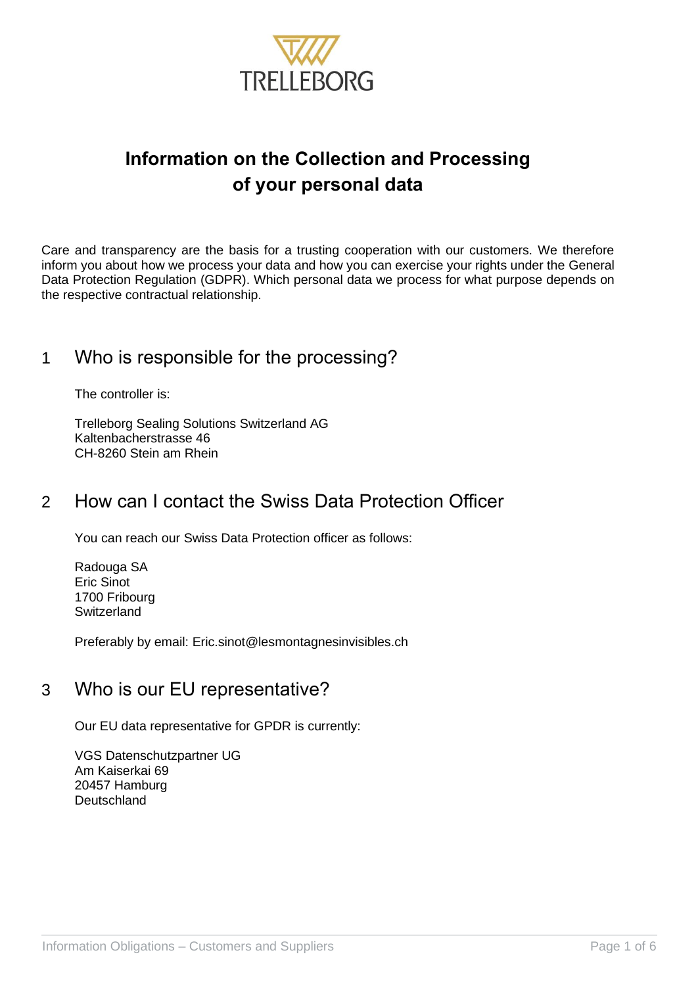

# **Information on the Collection and Processing of your personal data**

Care and transparency are the basis for a trusting cooperation with our customers. We therefore inform you about how we process your data and how you can exercise your rights under the General Data Protection Regulation (GDPR). Which personal data we process for what purpose depends on the respective contractual relationship.

### 1 Who is responsible for the processing?

The controller is:

Trelleborg Sealing Solutions Switzerland AG Kaltenbacherstrasse 46 CH-8260 Stein am Rhein

## 2 How can I contact the Swiss Data Protection Officer

You can reach our Swiss Data Protection officer as follows:

Radouga SA Eric Sinot 1700 Fribourg **Switzerland** 

Preferably by email: Eric.sinot@lesmontagnesinvisibles.ch

### 3 Who is our EU representative?

Our EU data representative for GPDR is currently:

VGS Datenschutzpartner UG Am Kaiserkai 69 20457 Hamburg **Deutschland**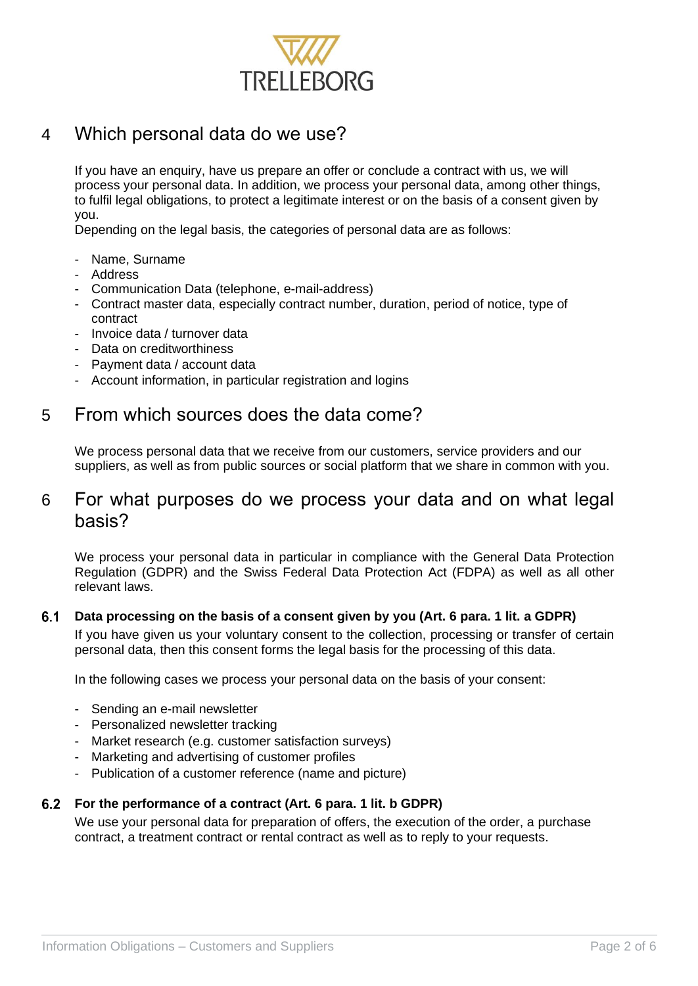

### 4 Which personal data do we use?

If you have an enquiry, have us prepare an offer or conclude a contract with us, we will process your personal data. In addition, we process your personal data, among other things, to fulfil legal obligations, to protect a legitimate interest or on the basis of a consent given by you.

Depending on the legal basis, the categories of personal data are as follows:

- Name, Surname
- Address
- Communication Data (telephone, e-mail-address)
- Contract master data, especially contract number, duration, period of notice, type of contract
- Invoice data / turnover data
- Data on creditworthiness
- Payment data / account data
- Account information, in particular registration and logins

### 5 From which sources does the data come?

We process personal data that we receive from our customers, service providers and our suppliers, as well as from public sources or social platform that we share in common with you.

### 6 For what purposes do we process your data and on what legal basis?

We process your personal data in particular in compliance with the General Data Protection Regulation (GDPR) and the Swiss Federal Data Protection Act (FDPA) as well as all other relevant laws.

#### $6.1$ **Data processing on the basis of a consent given by you (Art. 6 para. 1 lit. a GDPR)**

If you have given us your voluntary consent to the collection, processing or transfer of certain personal data, then this consent forms the legal basis for the processing of this data.

In the following cases we process your personal data on the basis of your consent:

- Sending an e-mail newsletter
- Personalized newsletter tracking
- Market research (e.g. customer satisfaction surveys)
- Marketing and advertising of customer profiles
- Publication of a customer reference (name and picture)

#### **For the performance of a contract (Art. 6 para. 1 lit. b GDPR)**

We use your personal data for preparation of offers, the execution of the order, a purchase contract, a treatment contract or rental contract as well as to reply to your requests.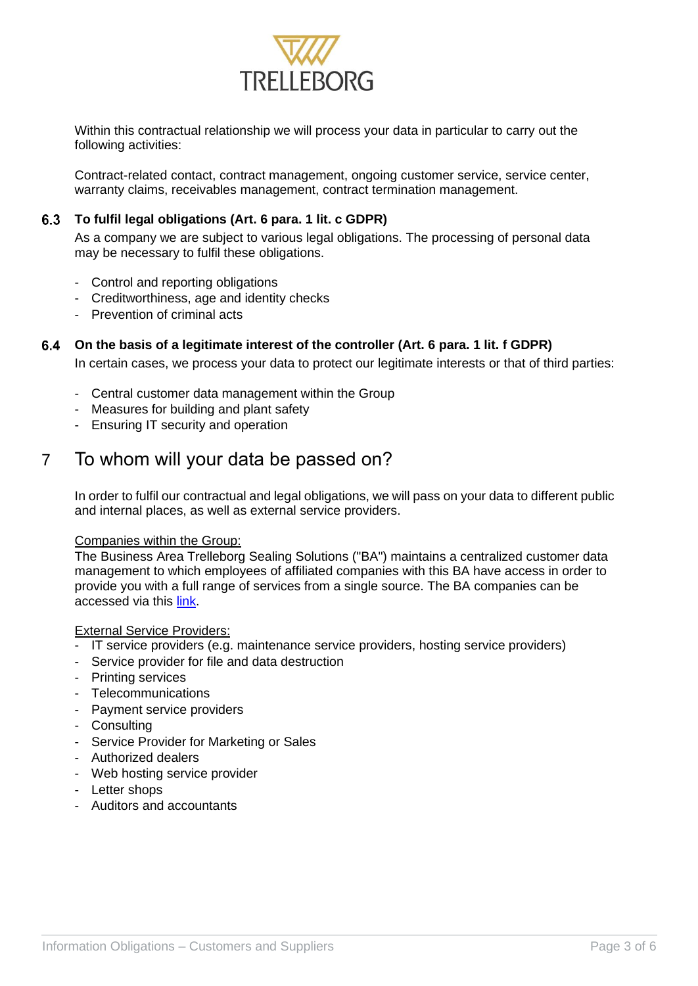

Within this contractual relationship we will process your data in particular to carry out the following activities:

Contract-related contact, contract management, ongoing customer service, service center, warranty claims, receivables management, contract termination management.

### **To fulfil legal obligations (Art. 6 para. 1 lit. c GDPR)**

As a company we are subject to various legal obligations. The processing of personal data may be necessary to fulfil these obligations.

- Control and reporting obligations
- Creditworthiness, age and identity checks
- Prevention of criminal acts

#### **On the basis of a legitimate interest of the controller (Art. 6 para. 1 lit. f GDPR)**

In certain cases, we process your data to protect our legitimate interests or that of third parties:

- Central customer data management within the Group
- Measures for building and plant safety
- Ensuring IT security and operation

### 7 To whom will your data be passed on?

In order to fulfil our contractual and legal obligations, we will pass on your data to different public and internal places, as well as external service providers.

#### Companies within the Group:

The Business Area Trelleborg Sealing Solutions ("BA") maintains a centralized customer data management to which employees of affiliated companies with this BA have access in order to provide you with a full range of services from a single source. The BA companies can be accessed via this [link.](https://www.tss.trelleborg.com/en/contact/contact-form)

#### External Service Providers:

- IT service providers (e.g. maintenance service providers, hosting service providers)
- Service provider for file and data destruction
- Printing services
- Telecommunications
- Payment service providers
- Consulting
- Service Provider for Marketing or Sales
- Authorized dealers
- Web hosting service provider
- Letter shops
- Auditors and accountants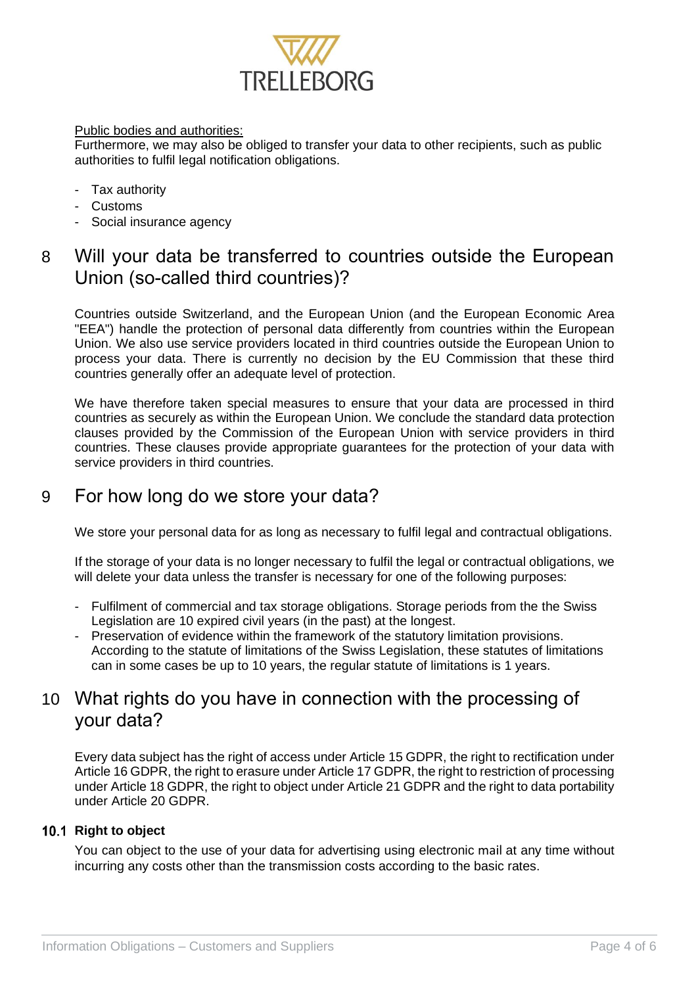

#### Public bodies and authorities:

Furthermore, we may also be obliged to transfer your data to other recipients, such as public authorities to fulfil legal notification obligations.

- Tax authority
- Customs
- Social insurance agency

### 8 Will your data be transferred to countries outside the European Union (so-called third countries)?

Countries outside Switzerland, and the European Union (and the European Economic Area "EEA") handle the protection of personal data differently from countries within the European Union. We also use service providers located in third countries outside the European Union to process your data. There is currently no decision by the EU Commission that these third countries generally offer an adequate level of protection.

We have therefore taken special measures to ensure that your data are processed in third countries as securely as within the European Union. We conclude the standard data protection clauses provided by the Commission of the European Union with service providers in third countries. These clauses provide appropriate guarantees for the protection of your data with service providers in third countries.

### 9 For how long do we store your data?

We store your personal data for as long as necessary to fulfil legal and contractual obligations.

If the storage of your data is no longer necessary to fulfil the legal or contractual obligations, we will delete your data unless the transfer is necessary for one of the following purposes:

- Fulfilment of commercial and tax storage obligations. Storage periods from the the Swiss Legislation are 10 expired civil years (in the past) at the longest.
- Preservation of evidence within the framework of the statutory limitation provisions. According to the statute of limitations of the Swiss Legislation, these statutes of limitations can in some cases be up to 10 years, the regular statute of limitations is 1 years.

### 10 What rights do you have in connection with the processing of your data?

Every data subject has the right of access under Article 15 GDPR, the right to rectification under Article 16 GDPR, the right to erasure under Article 17 GDPR, the right to restriction of processing under Article 18 GDPR, the right to object under Article 21 GDPR and the right to data portability under Article 20 GDPR.

#### 10.1 Right to object

You can object to the use of your data for advertising using electronic mail at any time without incurring any costs other than the transmission costs according to the basic rates.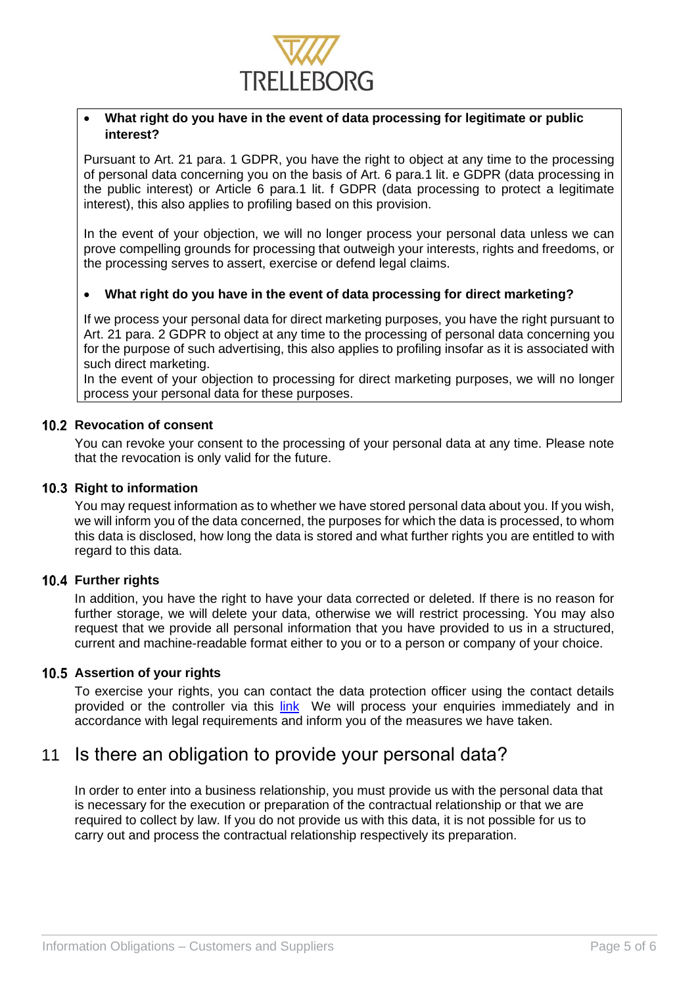

#### • **What right do you have in the event of data processing for legitimate or public interest?**

Pursuant to Art. 21 para. 1 GDPR, you have the right to object at any time to the processing of personal data concerning you on the basis of Art. 6 para.1 lit. e GDPR (data processing in the public interest) or Article 6 para.1 lit. f GDPR (data processing to protect a legitimate interest), this also applies to profiling based on this provision.

In the event of your objection, we will no longer process your personal data unless we can prove compelling grounds for processing that outweigh your interests, rights and freedoms, or the processing serves to assert, exercise or defend legal claims.

#### • **What right do you have in the event of data processing for direct marketing?**

If we process your personal data for direct marketing purposes, you have the right pursuant to Art. 21 para. 2 GDPR to object at any time to the processing of personal data concerning you for the purpose of such advertising, this also applies to profiling insofar as it is associated with such direct marketing.

In the event of your objection to processing for direct marketing purposes, we will no longer process your personal data for these purposes.

#### **10.2 Revocation of consent**

You can revoke your consent to the processing of your personal data at any time. Please note that the revocation is only valid for the future.

#### **10.3 Right to information**

You may request information as to whether we have stored personal data about you. If you wish, we will inform you of the data concerned, the purposes for which the data is processed, to whom this data is disclosed, how long the data is stored and what further rights you are entitled to with regard to this data.

#### **10.4 Further rights**

In addition, you have the right to have your data corrected or deleted. If there is no reason for further storage, we will delete your data, otherwise we will restrict processing. You may also request that we provide all personal information that you have provided to us in a structured, current and machine-readable format either to you or to a person or company of your choice.

#### **10.5 Assertion of your rights**

To exercise your rights, you can contact the data protection officer using the contact details provided or the controller via this [link](https://www.trelleborg.com/en/contact--us/data--privacy) We will process your enquiries immediately and in accordance with legal requirements and inform you of the measures we have taken.

### 11 Is there an obligation to provide your personal data?

In order to enter into a business relationship, you must provide us with the personal data that is necessary for the execution or preparation of the contractual relationship or that we are required to collect by law. If you do not provide us with this data, it is not possible for us to carry out and process the contractual relationship respectively its preparation.